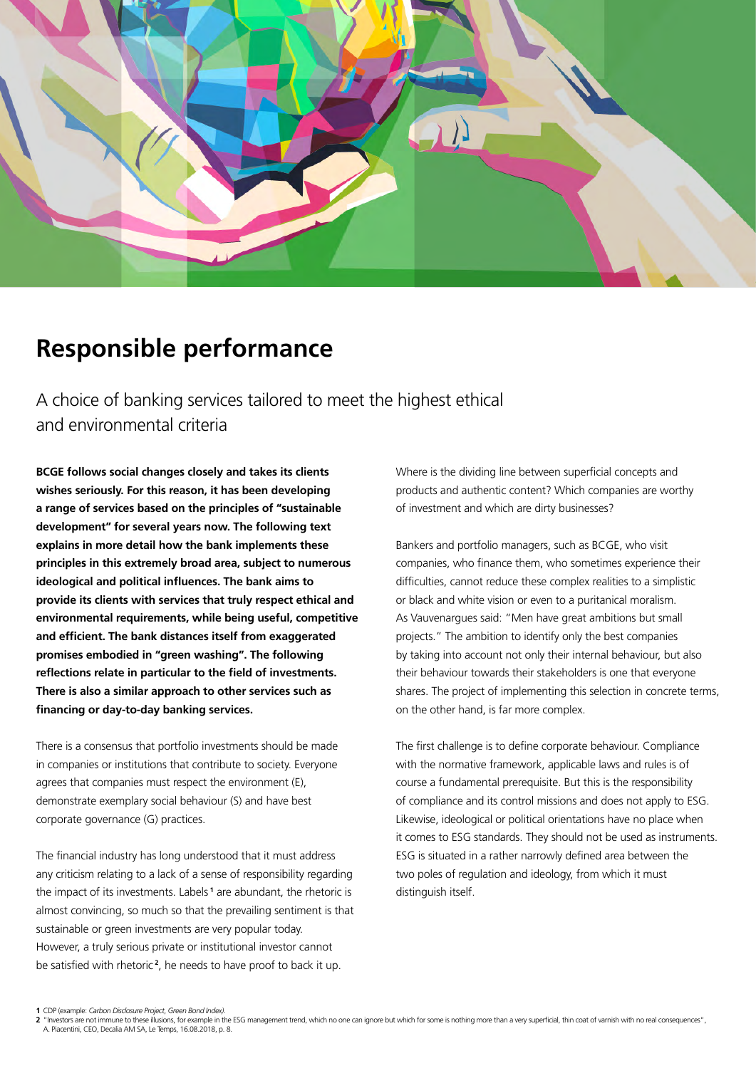

# **Responsible performance**

A choice of banking services tailored to meet the highest ethical and environmental criteria

**BCGE follows social changes closely and takes its clients wishes seriously. For this reason, it has been developing a range of services based on the principles of "sustainable development" for several years now. The following text explains in more detail how the bank implements these principles in this extremely broad area, subject to numerous ideological and political influences. The bank aims to provide its clients with services that truly respect ethical and environmental requirements, while being useful, competitive and efficient. The bank distances itself from exaggerated promises embodied in "green washing". The following reflections relate in particular to the field of investments. There is also a similar approach to other services such as financing or day-to-day banking services.**

There is a consensus that portfolio investments should be made in companies or institutions that contribute to society. Everyone agrees that companies must respect the environment (E), demonstrate exemplary social behaviour (S) and have best corporate governance (G) practices.

The financial industry has long understood that it must address any criticism relating to a lack of a sense of responsibility regarding the impact of its investments. Labels **<sup>1</sup>** are abundant, the rhetoric is almost convincing, so much so that the prevailing sentiment is that sustainable or green investments are very popular today. However, a truly serious private or institutional investor cannot be satisfied with rhetoric **<sup>2</sup>** , he needs to have proof to back it up.

Where is the dividing line between superficial concepts and products and authentic content? Which companies are worthy of investment and which are dirty businesses?

Bankers and portfolio managers, such as BCGE, who visit companies, who finance them, who sometimes experience their difficulties, cannot reduce these complex realities to a simplistic or black and white vision or even to a puritanical moralism. As Vauvenargues said: "Men have great ambitions but small projects." The ambition to identify only the best companies by taking into account not only their internal behaviour, but also their behaviour towards their stakeholders is one that everyone shares. The project of implementing this selection in concrete terms, on the other hand, is far more complex.

The first challenge is to define corporate behaviour. Compliance with the normative framework, applicable laws and rules is of course a fundamental prerequisite. But this is the responsibility of compliance and its control missions and does not apply to ESG. Likewise, ideological or political orientations have no place when it comes to ESG standards. They should not be used as instruments. ESG is situated in a rather narrowly defined area between the two poles of regulation and ideology, from which it must distinguish itself.

**<sup>1</sup>** CDP (example: *Carbon Disclosure Project*, *Green Bond Index)*.

**<sup>2</sup>** "Investors are not immune to these illusions, for example in the ESG management trend, which no one can ignore but which for some is nothing more than a very superficial, thin coat of varnish with no real consequences"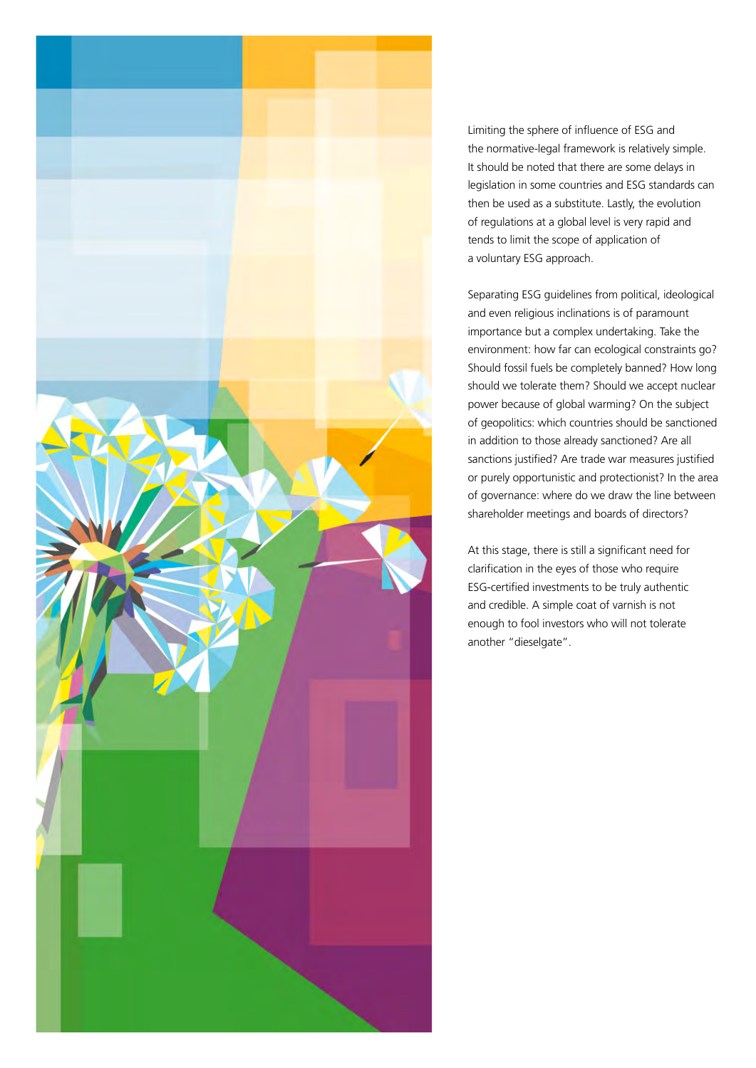

Limiting the sphere of influence of ESG and the normative-legal framework is relatively simple. It should be noted that there are some delays in legislation in some countries and ESG standards can then be used as a substitute. Lastly, the evolution of regulations at a global level is very rapid and tends to limit the scope of application of a voluntary ESG approach.

Separating ESG guidelines from political, ideological and even religious inclinations is of paramount importance but a complex undertaking. Take the environment: how far can ecological constraints go? Should fossil fuels be completely banned? How long should we tolerate them? Should we accept nuclear power because of global warming? On the subject of geopolitics: which countries should be sanctioned in addition to those already sanctioned? Are all sanctions justified? Are trade war measures justified or purely opportunistic and protectionist? In the area of governance: where do we draw the line between shareholder meetings and boards of directors?

At this stage, there is still a significant need for clarification in the eyes of those who require ESG-certified investments to be truly authentic and credible. A simple coat of varnish is not enough to fool investors who will not tolerate another "dieselgate".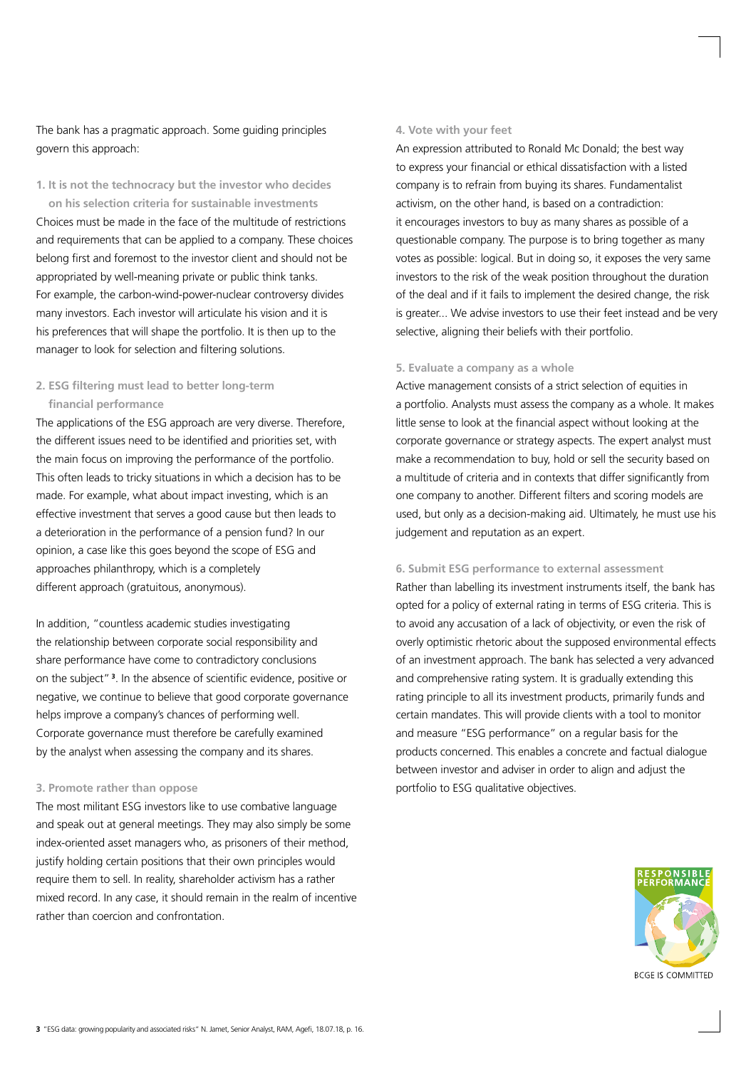The bank has a pragmatic approach. Some guiding principles govern this approach:

**1. It is not the technocracy but the investor who decides** 

**on his selection criteria for sustainable investments** Choices must be made in the face of the multitude of restrictions and requirements that can be applied to a company. These choices belong first and foremost to the investor client and should not be appropriated by well-meaning private or public think tanks. For example, the carbon-wind-power-nuclear controversy divides many investors. Each investor will articulate his vision and it is his preferences that will shape the portfolio. It is then up to the manager to look for selection and filtering solutions.

## **2. ESG filtering must lead to better long-term financial performance**

The applications of the ESG approach are very diverse. Therefore, the different issues need to be identified and priorities set, with the main focus on improving the performance of the portfolio. This often leads to tricky situations in which a decision has to be made. For example, what about impact investing, which is an effective investment that serves a good cause but then leads to a deterioration in the performance of a pension fund? In our opinion, a case like this goes beyond the scope of ESG and approaches philanthropy, which is a completely different approach (gratuitous, anonymous).

In addition, "countless academic studies investigating the relationship between corporate social responsibility and share performance have come to contradictory conclusions on the subject" **<sup>3</sup>** . In the absence of scientific evidence, positive or negative, we continue to believe that good corporate governance helps improve a company's chances of performing well. Corporate governance must therefore be carefully examined by the analyst when assessing the company and its shares.

#### **3. Promote rather than oppose**

The most militant ESG investors like to use combative language and speak out at general meetings. They may also simply be some index-oriented asset managers who, as prisoners of their method, justify holding certain positions that their own principles would require them to sell. In reality, shareholder activism has a rather mixed record. In any case, it should remain in the realm of incentive rather than coercion and confrontation.

#### **4. Vote with your feet**

An expression attributed to Ronald Mc Donald; the best way to express your financial or ethical dissatisfaction with a listed company is to refrain from buying its shares. Fundamentalist activism, on the other hand, is based on a contradiction: it encourages investors to buy as many shares as possible of a questionable company. The purpose is to bring together as many votes as possible: logical. But in doing so, it exposes the very same investors to the risk of the weak position throughout the duration of the deal and if it fails to implement the desired change, the risk is greater... We advise investors to use their feet instead and be very selective, aligning their beliefs with their portfolio.

#### **5. Evaluate a company as a whole**

Active management consists of a strict selection of equities in a portfolio. Analysts must assess the company as a whole. It makes little sense to look at the financial aspect without looking at the corporate governance or strategy aspects. The expert analyst must make a recommendation to buy, hold or sell the security based on a multitude of criteria and in contexts that differ significantly from one company to another. Different filters and scoring models are used, but only as a decision-making aid. Ultimately, he must use his judgement and reputation as an expert.

#### **6. Submit ESG performance to external assessment**

Rather than labelling its investment instruments itself, the bank has opted for a policy of external rating in terms of ESG criteria. This is to avoid any accusation of a lack of objectivity, or even the risk of overly optimistic rhetoric about the supposed environmental effects of an investment approach. The bank has selected a very advanced and comprehensive rating system. It is gradually extending this rating principle to all its investment products, primarily funds and certain mandates. This will provide clients with a tool to monitor and measure "ESG performance" on a regular basis for the products concerned. This enables a concrete and factual dialogue between investor and adviser in order to align and adjust the portfolio to ESG qualitative objectives.